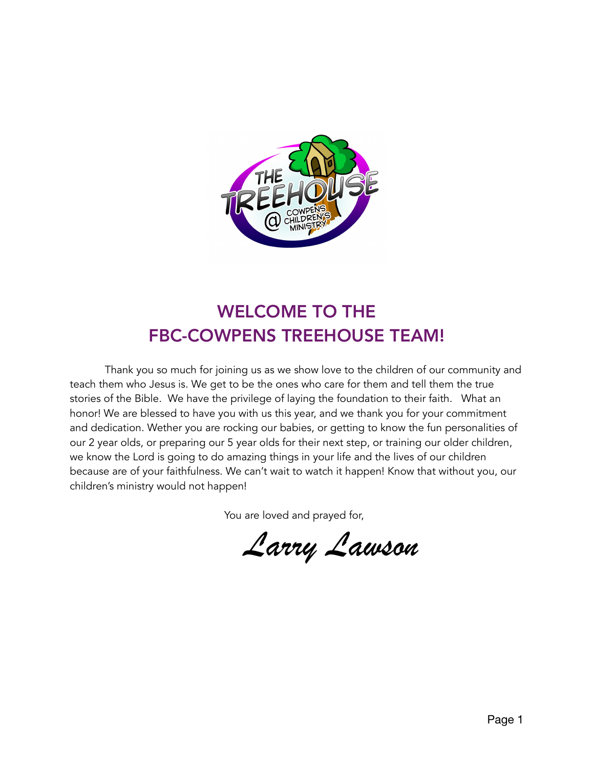

## WELCOME TO THE FBC-COWPENS TREEHOUSE TEAM!

 Thank you so much for joining us as we show love to the children of our community and teach them who Jesus is. We get to be the ones who care for them and tell them the true stories of the Bible. We have the privilege of laying the foundation to their faith. What an honor! We are blessed to have you with us this year, and we thank you for your commitment and dedication. Wether you are rocking our babies, or getting to know the fun personalities of our 2 year olds, or preparing our 5 year olds for their next step, or training our older children, we know the Lord is going to do amazing things in your life and the lives of our children because are of your faithfulness. We can't wait to watch it happen! Know that without you, our children's ministry would not happen!

You are loved and prayed for,

*Larry Lawson*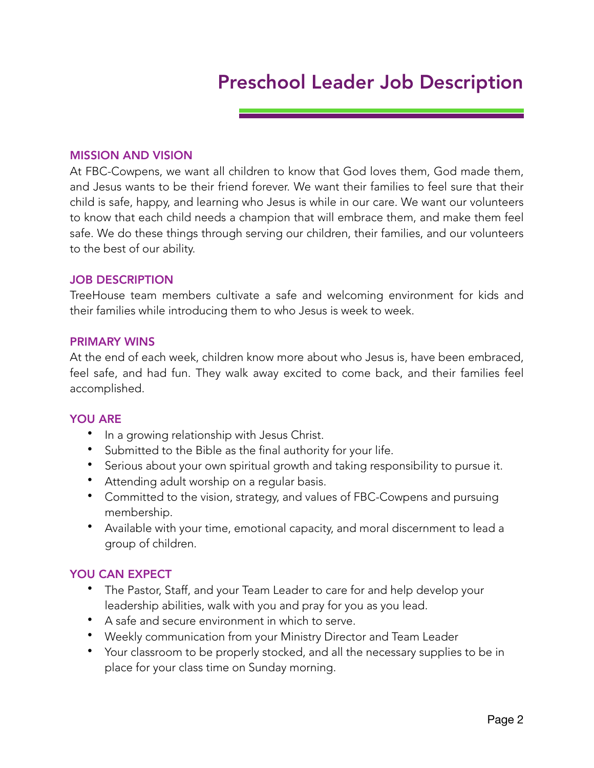## Preschool Leader Job Description

#### MISSION AND VISION

At FBC-Cowpens, we want all children to know that God loves them, God made them, and Jesus wants to be their friend forever. We want their families to feel sure that their child is safe, happy, and learning who Jesus is while in our care. We want our volunteers to know that each child needs a champion that will embrace them, and make them feel safe. We do these things through serving our children, their families, and our volunteers to the best of our ability.

#### JOB DESCRIPTION

TreeHouse team members cultivate a safe and welcoming environment for kids and their families while introducing them to who Jesus is week to week.

#### PRIMARY WINS

At the end of each week, children know more about who Jesus is, have been embraced, feel safe, and had fun. They walk away excited to come back, and their families feel accomplished.

#### YOU ARE

- In a growing relationship with Jesus Christ.
- Submitted to the Bible as the final authority for your life.
- Serious about your own spiritual growth and taking responsibility to pursue it.
- Attending adult worship on a regular basis.
- Committed to the vision, strategy, and values of FBC-Cowpens and pursuing membership.
- Available with your time, emotional capacity, and moral discernment to lead a group of children.

#### YOU CAN EXPECT

- The Pastor, Staff, and your Team Leader to care for and help develop your leadership abilities, walk with you and pray for you as you lead.
- A safe and secure environment in which to serve.
- Weekly communication from your Ministry Director and Team Leader
- Your classroom to be properly stocked, and all the necessary supplies to be in place for your class time on Sunday morning.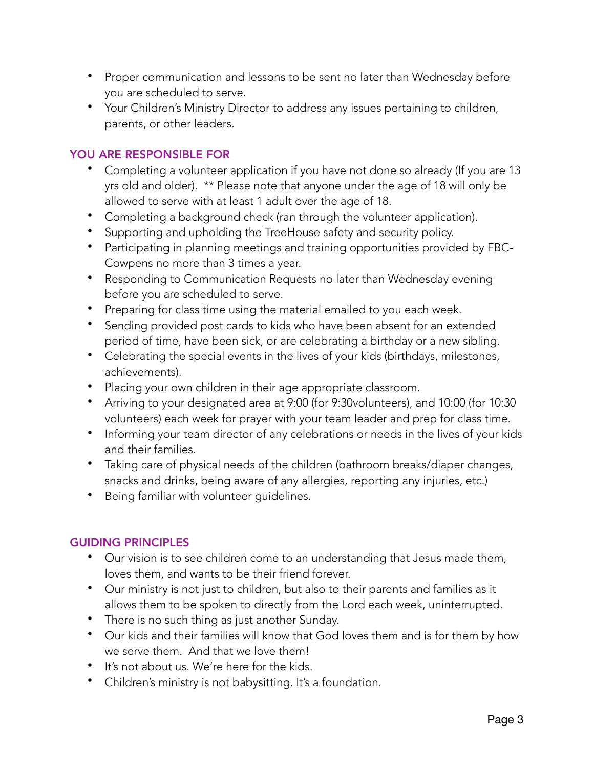- Proper communication and lessons to be sent no later than Wednesday before you are scheduled to serve.
- Your Children's Ministry Director to address any issues pertaining to children, parents, or other leaders.

### YOU ARE RESPONSIBLE FOR

- Completing a volunteer application if you have not done so already (If you are 13 yrs old and older). \*\* Please note that anyone under the age of 18 will only be allowed to serve with at least 1 adult over the age of 18.
- Completing a background check (ran through the volunteer application).
- Supporting and upholding the TreeHouse safety and security policy.
- Participating in planning meetings and training opportunities provided by FBC-Cowpens no more than 3 times a year.
- Responding to Communication Requests no later than Wednesday evening before you are scheduled to serve.
- Preparing for class time using the material emailed to you each week.
- Sending provided post cards to kids who have been absent for an extended period of time, have been sick, or are celebrating a birthday or a new sibling.
- Celebrating the special events in the lives of your kids (birthdays, milestones, achievements).
- Placing your own children in their age appropriate classroom.
- Arriving to your designated area at 9:00 (for 9:30volunteers), and 10:00 (for 10:30 volunteers) each week for prayer with your team leader and prep for class time.
- Informing your team director of any celebrations or needs in the lives of your kids and their families.
- Taking care of physical needs of the children (bathroom breaks/diaper changes, snacks and drinks, being aware of any allergies, reporting any injuries, etc.)
- Being familiar with volunteer guidelines.

#### GUIDING PRINCIPLES

- Our vision is to see children come to an understanding that Jesus made them, loves them, and wants to be their friend forever.
- Our ministry is not just to children, but also to their parents and families as it allows them to be spoken to directly from the Lord each week, uninterrupted.
- There is no such thing as just another Sunday.
- Our kids and their families will know that God loves them and is for them by how we serve them. And that we love them!
- It's not about us. We're here for the kids.
- Children's ministry is not babysitting. It's a foundation.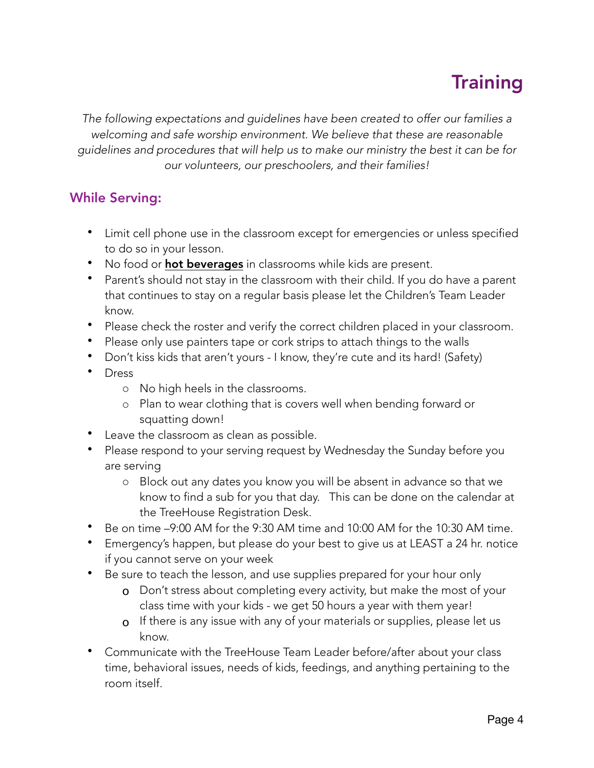# **Training**

*The following expectations and guidelines have been created to offer our families a welcoming and safe worship environment. We believe that these are reasonable guidelines and procedures that will help us to make our ministry the best it can be for our volunteers, our preschoolers, and their families!* 

## While Serving:

- Limit cell phone use in the classroom except for emergencies or unless specified to do so in your lesson.
- No food or **hot beverages** in classrooms while kids are present.
- Parent's should not stay in the classroom with their child. If you do have a parent that continues to stay on a regular basis please let the Children's Team Leader know.
- Please check the roster and verify the correct children placed in your classroom.
- Please only use painters tape or cork strips to attach things to the walls
- Don't kiss kids that aren't yours I know, they're cute and its hard! (Safety)
- Dress
	- o No high heels in the classrooms.
	- o Plan to wear clothing that is covers well when bending forward or squatting down!
- Leave the classroom as clean as possible.
- Please respond to your serving request by Wednesday the Sunday before you are serving
	- o Block out any dates you know you will be absent in advance so that we know to find a sub for you that day. This can be done on the calendar at the TreeHouse Registration Desk.
- Be on time –9:00 AM for the 9:30 AM time and 10:00 AM for the 10:30 AM time.
- Emergency's happen, but please do your best to give us at LEAST a 24 hr. notice if you cannot serve on your week
- Be sure to teach the lesson, and use supplies prepared for your hour only
	- o Don't stress about completing every activity, but make the most of your class time with your kids - we get 50 hours a year with them year!
	- $\sigma$  If there is any issue with any of your materials or supplies, please let us know.
- Communicate with the TreeHouse Team Leader before/after about your class time, behavioral issues, needs of kids, feedings, and anything pertaining to the room itself.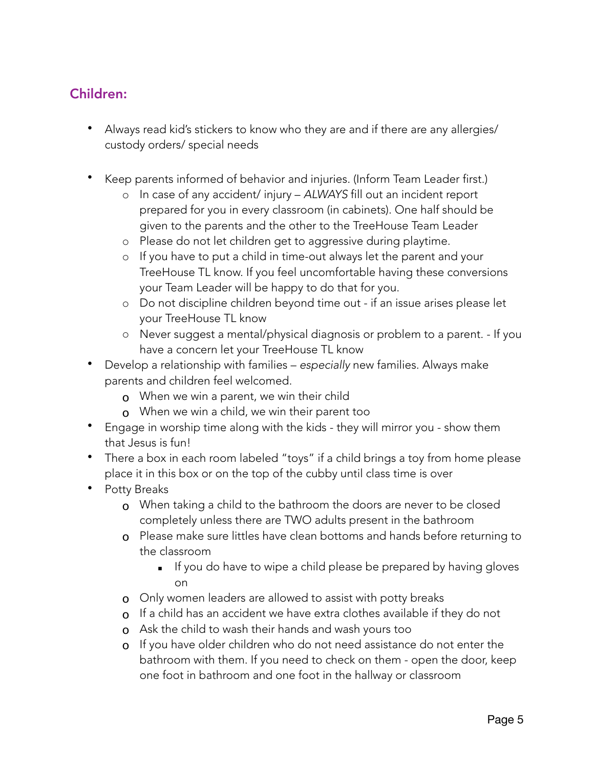## Children:

- Always read kid's stickers to know who they are and if there are any allergies/ custody orders/ special needs
- Keep parents informed of behavior and injuries. (Inform Team Leader first.)
	- o In case of any accident/ injury *ALWAYS* fill out an incident report prepared for you in every classroom (in cabinets). One half should be given to the parents and the other to the TreeHouse Team Leader
	- o Please do not let children get to aggressive during playtime.
	- o If you have to put a child in time-out always let the parent and your TreeHouse TL know. If you feel uncomfortable having these conversions your Team Leader will be happy to do that for you.
	- o Do not discipline children beyond time out if an issue arises please let your TreeHouse TL know
	- o Never suggest a mental/physical diagnosis or problem to a parent. If you have a concern let your TreeHouse TL know
- Develop a relationship with families *especially* new families. Always make parents and children feel welcomed.
	- o When we win a parent, we win their child
	- o When we win a child, we win their parent too
- Engage in worship time along with the kids they will mirror you show them that Jesus is fun!
- There a box in each room labeled "toys" if a child brings a toy from home please place it in this box or on the top of the cubby until class time is over
- Potty Breaks
	- o When taking a child to the bathroom the doors are never to be closed completely unless there are TWO adults present in the bathroom
	- o Please make sure littles have clean bottoms and hands before returning to the classroom
		- **EXED 15 If you do have to wipe a child please be prepared by having gloves** on
	- o Only women leaders are allowed to assist with potty breaks
	- o If a child has an accident we have extra clothes available if they do not
	- **o** Ask the child to wash their hands and wash yours too
	- o If you have older children who do not need assistance do not enter the bathroom with them. If you need to check on them - open the door, keep one foot in bathroom and one foot in the hallway or classroom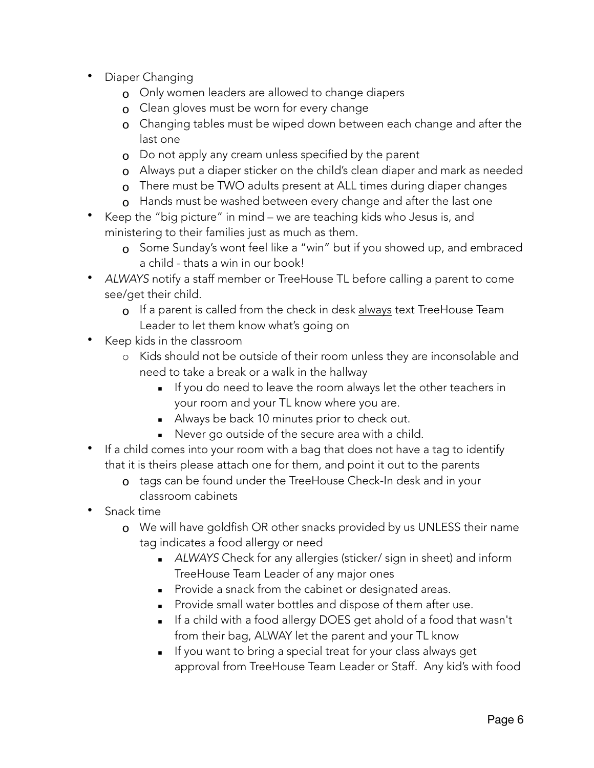- Diaper Changing
	- o Only women leaders are allowed to change diapers
	- **o** Clean gloves must be worn for every change
	- o Changing tables must be wiped down between each change and after the last one
	- o Do not apply any cream unless specified by the parent
	- o Always put a diaper sticker on the child's clean diaper and mark as needed
	- **o** There must be TWO adults present at ALL times during diaper changes
	- **o** Hands must be washed between every change and after the last one
- Keep the "big picture" in mind we are teaching kids who Jesus is, and ministering to their families just as much as them.
	- o Some Sunday's wont feel like a "win" but if you showed up, and embraced a child - thats a win in our book!
- *ALWAYS* notify a staff member or TreeHouse TL before calling a parent to come see/get their child.
	- o If a parent is called from the check in desk always text TreeHouse Team Leader to let them know what's going on
- Keep kids in the classroom
	- o Kids should not be outside of their room unless they are inconsolable and need to take a break or a walk in the hallway
		- **If you do need to leave the room always let the other teachers in** your room and your TL know where you are.
		- Always be back 10 minutes prior to check out.
		- **E** Never go outside of the secure area with a child.
- If a child comes into your room with a bag that does not have a tag to identify that it is theirs please attach one for them, and point it out to the parents
	- o tags can be found under the TreeHouse Check-In desk and in your classroom cabinets
- Snack time
	- **o** We will have goldfish OR other snacks provided by us UNLESS their name tag indicates a food allergy or need
		- **EXECUTER:** ALWAYS Check for any allergies (sticker/ sign in sheet) and inform TreeHouse Team Leader of any major ones
		- **•** Provide a snack from the cabinet or designated areas.
		- **•** Provide small water bottles and dispose of them after use.
		- If a child with a food allergy DOES get ahold of a food that wasn't from their bag, ALWAY let the parent and your TL know
		- **EXE** If you want to bring a special treat for your class always get approval from TreeHouse Team Leader or Staff. Any kid's with food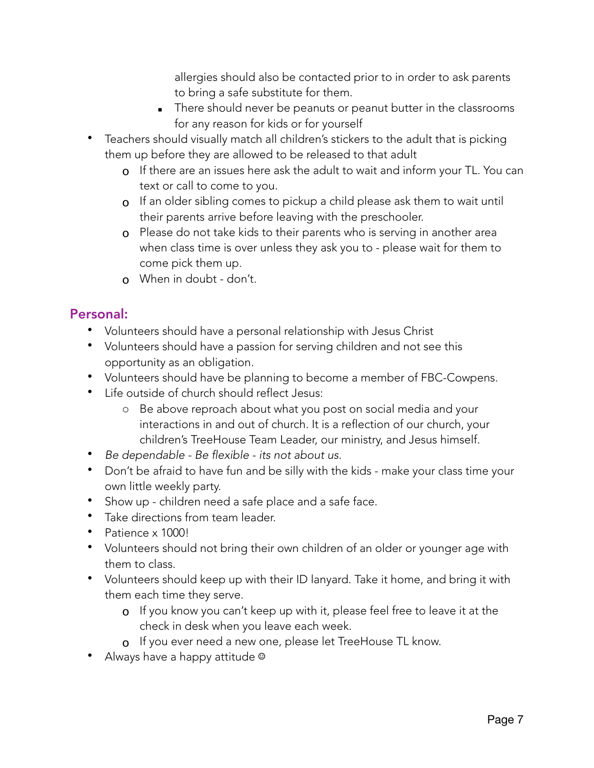allergies should also be contacted prior to in order to ask parents to bring a safe substitute for them.

- **EXECT** There should never be peanuts or peanut butter in the classrooms for any reason for kids or for yourself
- Teachers should visually match all children's stickers to the adult that is picking them up before they are allowed to be released to that adult
	- o If there are an issues here ask the adult to wait and inform your TL. You can text or call to come to you.
	- o If an older sibling comes to pickup a child please ask them to wait until their parents arrive before leaving with the preschooler.
	- o Please do not take kids to their parents who is serving in another area when class time is over unless they ask you to - please wait for them to come pick them up.
	- o When in doubt don't.

## Personal:

- Volunteers should have a personal relationship with Jesus Christ
- Volunteers should have a passion for serving children and not see this opportunity as an obligation.
- Volunteers should have be planning to become a member of FBC-Cowpens.
- Life outside of church should reflect Jesus:
	- o Be above reproach about what you post on social media and your interactions in and out of church. It is a reflection of our church, your children's TreeHouse Team Leader, our ministry, and Jesus himself.
- *Be dependable Be flexible its not about us.*
- Don't be afraid to have fun and be silly with the kids make your class time your own little weekly party.
- Show up children need a safe place and a safe face.
- Take directions from team leader.
- Patience x 1000!
- Volunteers should not bring their own children of an older or younger age with them to class.
- Volunteers should keep up with their ID lanyard. Take it home, and bring it with them each time they serve.
	- o If you know you can't keep up with it, please feel free to leave it at the check in desk when you leave each week.
	- o If you ever need a new one, please let TreeHouse TL know.
- Always have a happy attitude <sup>©</sup>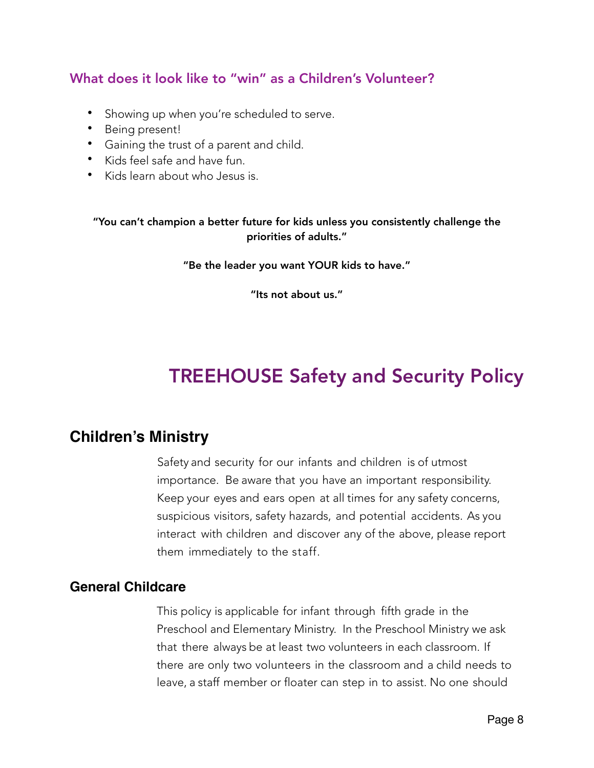## What does it look like to "win" as a Children's Volunteer?

- Showing up when you're scheduled to serve.
- Being present!
- Gaining the trust of a parent and child.
- Kids feel safe and have fun.
- Kids learn about who Jesus is.

"You can't champion a better future for kids unless you consistently challenge the priorities of adults."

"Be the leader you want YOUR kids to have."

"Its not about us."

# TREEHOUSE Safety and Security Policy

## **Children's Ministry**

Safety and security for our infants and children is of utmost importance. Be aware that you have an important responsibility. Keep your eyes and ears open at all times for any safety concerns, suspicious visitors, safety hazards, and potential accidents. As you interact with children and discover any of the above, please report them immediately to the staff.

#### **General Childcare**

This policy is applicable for infant through fifth grade in the Preschool and Elementary Ministry. In the Preschool Ministry we ask that there always be at least two volunteers in each classroom. If there are only two volunteers in the classroom and a child needs to leave, a staff member or floater can step in to assist. No one should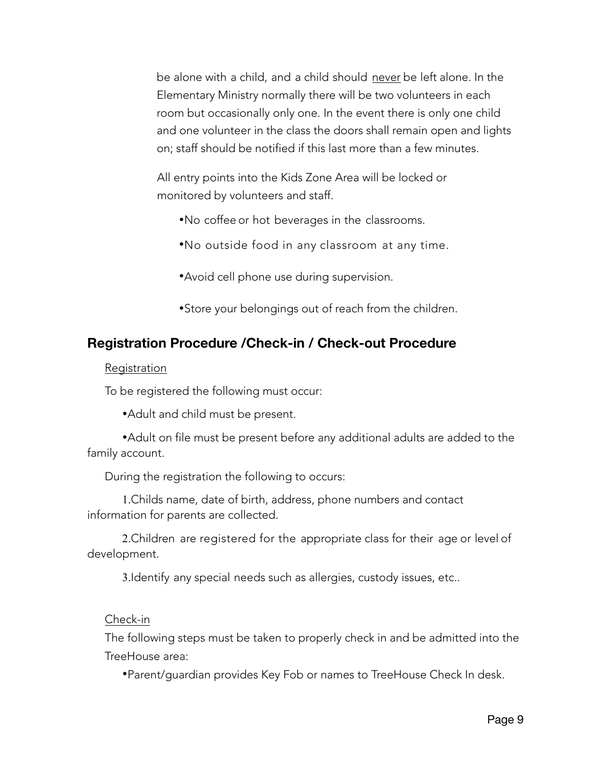be alone with a child, and a child should never be left alone. In the Elementary Ministry normally there will be two volunteers in each room but occasionally only one. In the event there is only one child and one volunteer in the class the doors shall remain open and lights on; staff should be notified if this last more than a few minutes.

All entry points into the Kids Zone Area will be locked or monitored by volunteers and staff.

- •No coffee or hot beverages in the classrooms.
- •No outside food in any classroom at any time.
- •Avoid cell phone use during supervision.
- •Store your belongings out of reach from the children.

## **Registration Procedure /Check-in / Check-out Procedure**

#### Registration

To be registered the following must occur:

•Adult and child must be present.

•Adult on file must be present before any additional adults are added to the family account.

During the registration the following to occurs:

1.Childs name, date of birth, address, phone numbers and contact information for parents are collected.

2.Children are registered for the appropriate class for their age or level of development.

3.Identify any special needs such as allergies, custody issues, etc..

#### Check-in

The following steps must be taken to properly check in and be admitted into the TreeHouse area:

•Parent/guardian provides Key Fob or names to TreeHouse Check In desk.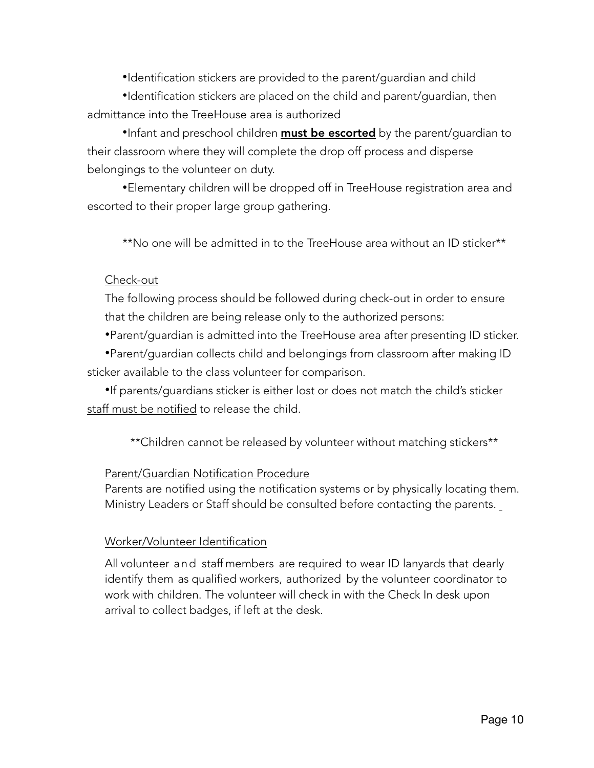•Identification stickers are provided to the parent/guardian and child

•Identification stickers are placed on the child and parent/guardian, then admittance into the TreeHouse area is authorized

•Infant and preschool children **must be escorted** by the parent/guardian to their classroom where they will complete the drop off process and disperse belongings to the volunteer on duty.

•Elementary children will be dropped off in TreeHouse registration area and escorted to their proper large group gathering.

\*\*No one will be admitted in to the TreeHouse area without an ID sticker\*\*

#### Check-out

The following process should be followed during check-out in order to ensure that the children are being release only to the authorized persons:

•Parent/guardian is admitted into the TreeHouse area after presenting ID sticker.

•Parent/guardian collects child and belongings from classroom after making ID sticker available to the class volunteer for comparison.

•If parents/guardians sticker is either lost or does not match the child's sticker staff must be notified to release the child.

\*\*Children cannot be released by volunteer without matching stickers\*\*

#### Parent/Guardian Notification Procedure

Parents are notified using the notification systems or by physically locating them. Ministry Leaders or Staff should be consulted before contacting the parents.

#### Worker/Volunteer Identification

All volunteer and staff members are required to wear ID lanyards that dearly identify them as qualified workers, authorized by the volunteer coordinator to work with children. The volunteer will check in with the Check In desk upon arrival to collect badges, if left at the desk.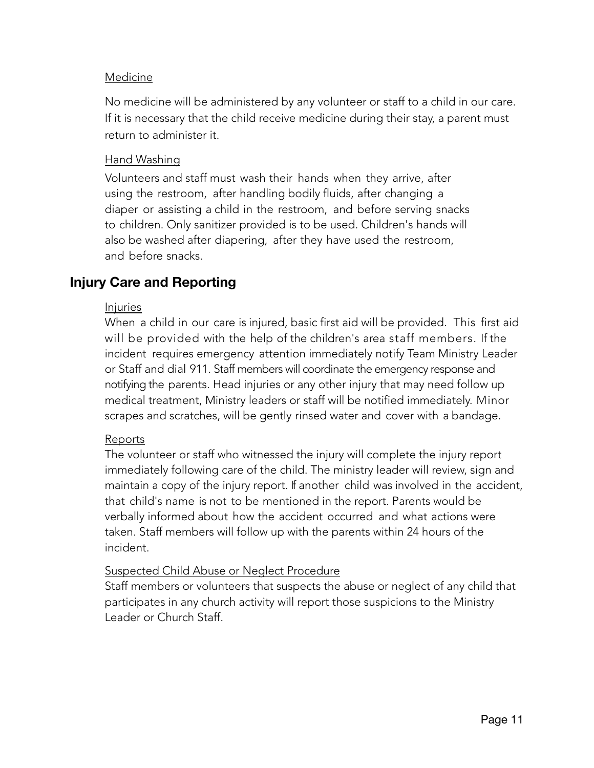#### Medicine

No medicine will be administered by any volunteer or staff to a child in our care. If it is necessary that the child receive medicine during their stay, a parent must return to administer it.

#### Hand Washing

Volunteers and staff must wash their hands when they arrive, after using the restroom, after handling bodily fluids, after changing a diaper or assisting a child in the restroom, and before serving snacks to children. Only sanitizer provided is to be used. Children's hands will also be washed after diapering, after they have used the restroom, and before snacks.

## **Injury Care and Reporting**

#### Injuries

When a child in our care is injured, basic first aid will be provided. This first aid will be provided with the help of the children's area staff members. If the incident requires emergency attention immediately notify Team Ministry Leader or Staff and dial 911. Staff members will coordinate the emergency response and notifying the parents. Head injuries or any other injury that may need follow up medical treatment, Ministry leaders or staff will be notified immediately. Minor scrapes and scratches, will be gently rinsed water and cover with a bandage.

#### Reports

The volunteer or staff who witnessed the injury will complete the injury report immediately following care of the child. The ministry leader will review, sign and maintain a copy of the injury report. If another child was involved in the accident, that child's name is not to be mentioned in the report. Parents would be verbally informed about how the accident occurred and what actions were taken. Staff members will follow up with the parents within 24 hours of the incident.

#### Suspected Child Abuse or Neglect Procedure

Staff members or volunteers that suspects the abuse or neglect of any child that participates in any church activity will report those suspicions to the Ministry Leader or Church Staff.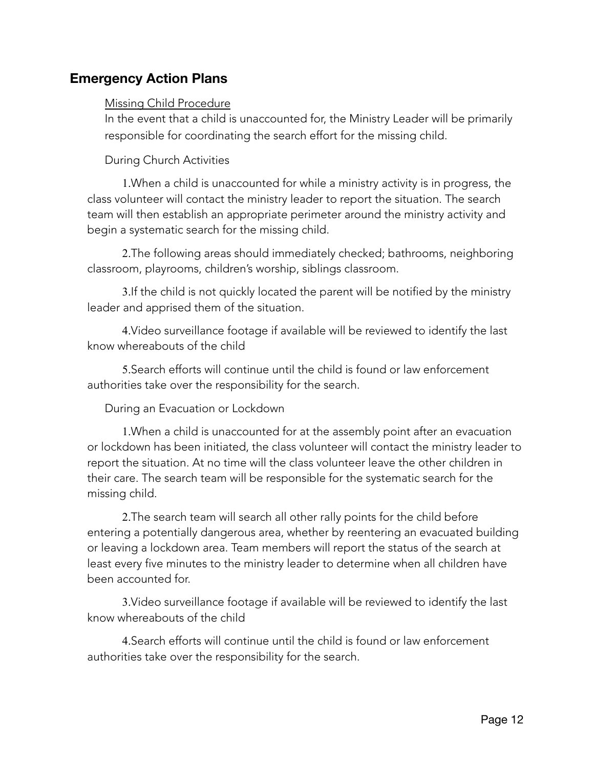### **Emergency Action Plans**

#### Missing Child Procedure

In the event that a child is unaccounted for, the Ministry Leader will be primarily responsible for coordinating the search effort for the missing child.

During Church Activities

1.When a child is unaccounted for while a ministry activity is in progress, the class volunteer will contact the ministry leader to report the situation. The search team will then establish an appropriate perimeter around the ministry activity and begin a systematic search for the missing child.

2.The following areas should immediately checked; bathrooms, neighboring classroom, playrooms, children's worship, siblings classroom.

3.If the child is not quickly located the parent will be notified by the ministry leader and apprised them of the situation.

4.Video surveillance footage if available will be reviewed to identify the last know whereabouts of the child

5.Search efforts will continue until the child is found or law enforcement authorities take over the responsibility for the search.

During an Evacuation or Lockdown

1.When a child is unaccounted for at the assembly point after an evacuation or lockdown has been initiated, the class volunteer will contact the ministry leader to report the situation. At no time will the class volunteer leave the other children in their care. The search team will be responsible for the systematic search for the missing child.

2.The search team will search all other rally points for the child before entering a potentially dangerous area, whether by reentering an evacuated building or leaving a lockdown area. Team members will report the status of the search at least every five minutes to the ministry leader to determine when all children have been accounted for.

3.Video surveillance footage if available will be reviewed to identify the last know whereabouts of the child

4.Search efforts will continue until the child is found or law enforcement authorities take over the responsibility for the search.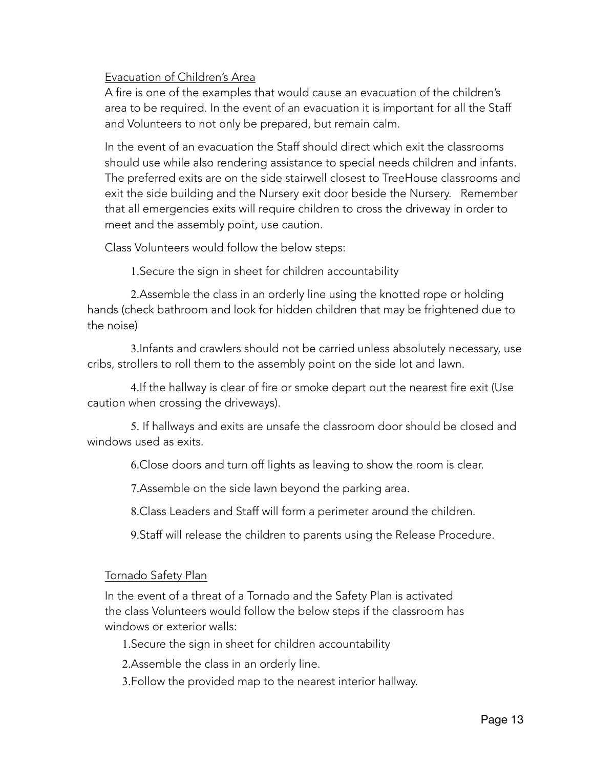#### Evacuation of Children's Area

A fire is one of the examples that would cause an evacuation of the children's area to be required. In the event of an evacuation it is important for all the Staff and Volunteers to not only be prepared, but remain calm.

In the event of an evacuation the Staff should direct which exit the classrooms should use while also rendering assistance to special needs children and infants. The preferred exits are on the side stairwell closest to TreeHouse classrooms and exit the side building and the Nursery exit door beside the Nursery. Remember that all emergencies exits will require children to cross the driveway in order to meet and the assembly point, use caution.

Class Volunteers would follow the below steps:

1.Secure the sign in sheet for children accountability

2.Assemble the class in an orderly line using the knotted rope or holding hands (check bathroom and look for hidden children that may be frightened due to the noise)

3.Infants and crawlers should not be carried unless absolutely necessary, use cribs, strollers to roll them to the assembly point on the side lot and lawn.

4.If the hallway is clear of fire or smoke depart out the nearest fire exit (Use caution when crossing the driveways).

5. If hallways and exits are unsafe the classroom door should be closed and windows used as exits.

6.Close doors and turn off lights as leaving to show the room is clear.

7.Assemble on the side lawn beyond the parking area.

8.Class Leaders and Staff will form a perimeter around the children.

9.Staff will release the children to parents using the Release Procedure.

#### Tornado Safety Plan

In the event of a threat of a Tornado and the Safety Plan is activated the class Volunteers would follow the below steps if the classroom has windows or exterior walls:

1.Secure the sign in sheet for children accountability

2.Assemble the class in an orderly line.

3.Follow the provided map to the nearest interior hallway.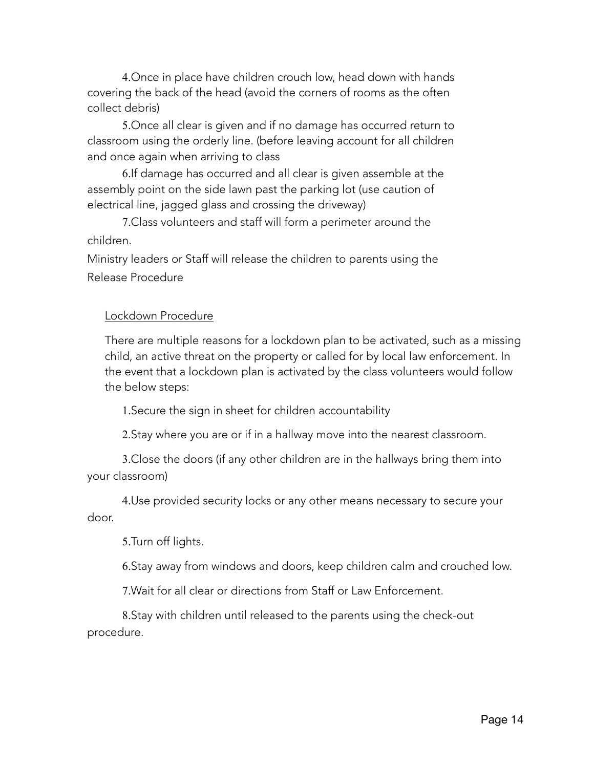4.Once in place have children crouch low, head down with hands covering the back of the head (avoid the corners of rooms as the often collect debris)

5.Once all clear is given and if no damage has occurred return to classroom using the orderly line. (before leaving account for all children and once again when arriving to class

6.If damage has occurred and all clear is given assemble at the assembly point on the side lawn past the parking lot (use caution of electrical line, jagged glass and crossing the driveway)

7.Class volunteers and staff will form a perimeter around the children.

Ministry leaders or Staff will release the children to parents using the Release Procedure

#### Lockdown Procedure

There are multiple reasons for a lockdown plan to be activated, such as a missing child, an active threat on the property or called for by local law enforcement. In the event that a lockdown plan is activated by the class volunteers would follow the below steps:

1.Secure the sign in sheet for children accountability

2.Stay where you are or if in a hallway move into the nearest classroom.

3.Close the doors (if any other children are in the hallways bring them into your classroom)

4.Use provided security locks or any other means necessary to secure your door.

5.Turn off lights.

6.Stay away from windows and doors, keep children calm and crouched low.

7.Wait for all clear or directions from Staff or Law Enforcement.

8.Stay with children until released to the parents using the check-out procedure.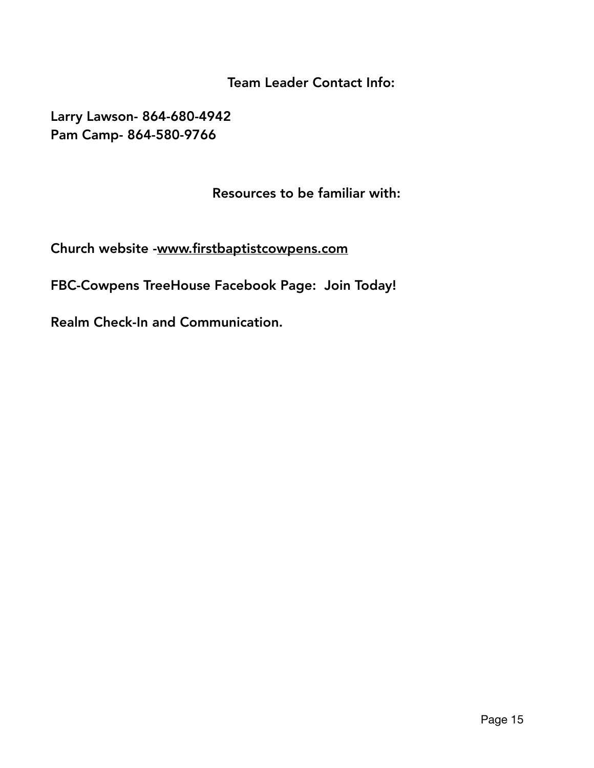Team Leader Contact Info:

Larry Lawson- 864-680-4942 Pam Camp- 864-580-9766

Resources to be familiar with:

Church website -[www.firstbaptistcowpens.com](http://www.firstbaptistcowpens.com) 

FBC-Cowpens TreeHouse Facebook Page: Join Today!

Realm Check-In and Communication.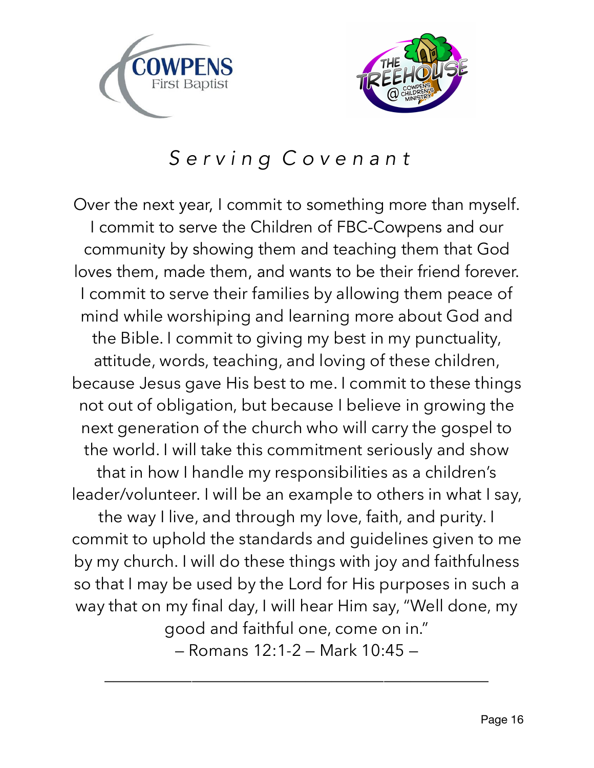



# *S e r v i n g C o v e n a n t*

Over the next year, I commit to something more than myself. I commit to serve the Children of FBC-Cowpens and our community by showing them and teaching them that God loves them, made them, and wants to be their friend forever. I commit to serve their families by allowing them peace of mind while worshiping and learning more about God and the Bible. I commit to giving my best in my punctuality, attitude, words, teaching, and loving of these children, because Jesus gave His best to me. I commit to these things not out of obligation, but because I believe in growing the next generation of the church who will carry the gospel to the world. I will take this commitment seriously and show that in how I handle my responsibilities as a children's leader/volunteer. I will be an example to others in what I say, the way I live, and through my love, faith, and purity. I commit to uphold the standards and guidelines given to me by my church. I will do these things with joy and faithfulness so that I may be used by the Lord for His purposes in such a way that on my final day, I will hear Him say, "Well done, my good and faithful one, come on in." — Romans 12:1-2 — Mark 10:45 —

\_\_\_\_\_\_\_\_\_\_\_\_\_\_\_\_\_\_\_\_\_\_\_\_\_\_\_\_\_\_\_\_\_\_\_\_\_\_\_\_\_\_\_\_